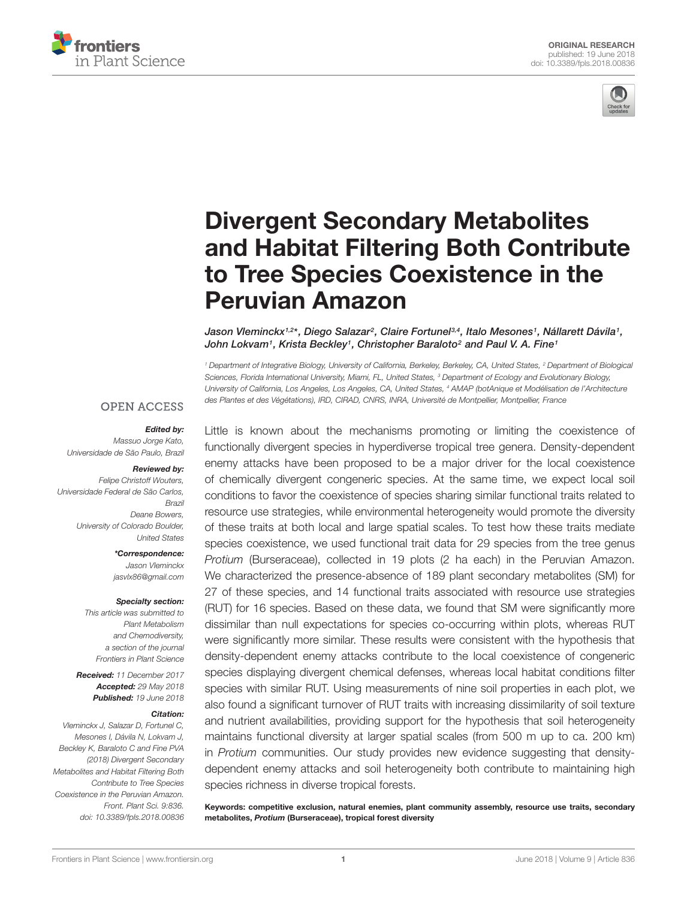



# Divergent Secondary Metabolites [and Habitat Filtering Both Contribute](https://www.frontiersin.org/articles/10.3389/fpls.2018.00836/full) to Tree Species Coexistence in the Peruvian Amazon

[Jason Vleminckx](http://loop.frontiersin.org/people/503649/overview)1.2\*, Diego Salazar<sup>2</sup>, [Claire Fortunel](http://loop.frontiersin.org/people/506558/overview)3.4, Italo Mesones1, Nállarett Dávila1, John Lokvam1, Krista Beckley1, Christopher Baraloto<sup>2</sup> and [Paul V. A. Fine](http://loop.frontiersin.org/people/175590/overview)1

<sup>1</sup> Department of Integrative Biology, University of California, Berkeley, Berkeley, CA, United States, <sup>2</sup> Department of Biological Sciences, Florida International University, Miami, FL, United States, <sup>3</sup> Department of Ecology and Evolutionary Biology, University of California, Los Angeles, Los Angeles, CA, United States, <sup>4</sup> AMAP (botAnique et Modélisation de l'Architecture des Plantes et des Végétations), IRD, CIRAD, CNRS, INRA, Université de Montpellier, Montpellier, France

### **OPEN ACCESS**

### Edited by:

Massuo Jorge Kato, Universidade de São Paulo, Brazil

#### Reviewed by:

Felipe Christoff Wouters, Universidade Federal de São Carlos, Brazil Deane Bowers, University of Colorado Boulder, United States

\*Correspondence:

Jason Vleminckx jasvlx86@gmail.com

#### Specialty section:

This article was submitted to Plant Metabolism and Chemodiversity, a section of the journal Frontiers in Plant Science

Received: 11 December 2017 Accepted: 29 May 2018 Published: 19 June 2018

### Citation:

Vleminckx J, Salazar D, Fortunel C, Mesones I, Dávila N, Lokvam J, Beckley K, Baraloto C and Fine PVA (2018) Divergent Secondary Metabolites and Habitat Filtering Both Contribute to Tree Species Coexistence in the Peruvian Amazon. Front. Plant Sci. 9:836. doi: [10.3389/fpls.2018.00836](https://doi.org/10.3389/fpls.2018.00836) Little is known about the mechanisms promoting or limiting the coexistence of functionally divergent species in hyperdiverse tropical tree genera. Density-dependent enemy attacks have been proposed to be a major driver for the local coexistence of chemically divergent congeneric species. At the same time, we expect local soil conditions to favor the coexistence of species sharing similar functional traits related to resource use strategies, while environmental heterogeneity would promote the diversity of these traits at both local and large spatial scales. To test how these traits mediate species coexistence, we used functional trait data for 29 species from the tree genus Protium (Burseraceae), collected in 19 plots (2 ha each) in the Peruvian Amazon. We characterized the presence-absence of 189 plant secondary metabolites (SM) for 27 of these species, and 14 functional traits associated with resource use strategies (RUT) for 16 species. Based on these data, we found that SM were significantly more dissimilar than null expectations for species co-occurring within plots, whereas RUT were significantly more similar. These results were consistent with the hypothesis that density-dependent enemy attacks contribute to the local coexistence of congeneric species displaying divergent chemical defenses, whereas local habitat conditions filter species with similar RUT. Using measurements of nine soil properties in each plot, we also found a significant turnover of RUT traits with increasing dissimilarity of soil texture and nutrient availabilities, providing support for the hypothesis that soil heterogeneity maintains functional diversity at larger spatial scales (from 500 m up to ca. 200 km) in Protium communities. Our study provides new evidence suggesting that densitydependent enemy attacks and soil heterogeneity both contribute to maintaining high species richness in diverse tropical forests.

Keywords: competitive exclusion, natural enemies, plant community assembly, resource use traits, secondary metabolites, Protium (Burseraceae), tropical forest diversity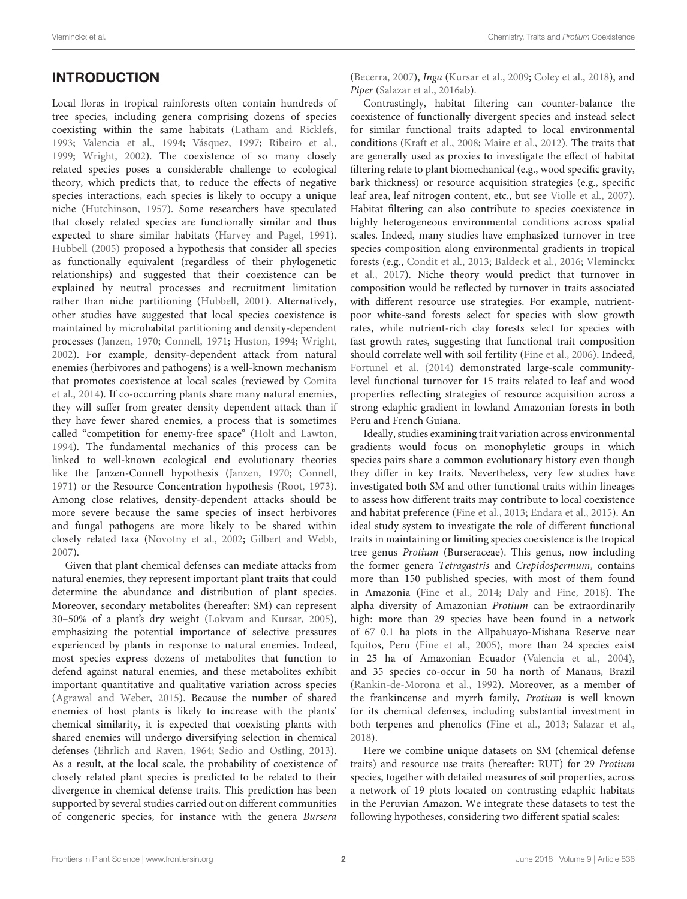# **INTRODUCTION**

Local floras in tropical rainforests often contain hundreds of tree species, including genera comprising dozens of species coexisting within the same habitats [\(Latham and Ricklefs,](#page-8-0) [1993;](#page-8-0) [Valencia et al.,](#page-9-0) [1994;](#page-9-0) [Vásquez,](#page-9-1) [1997;](#page-9-1) [Ribeiro et al.,](#page-9-2) [1999;](#page-9-2) [Wright,](#page-9-3) [2002\)](#page-9-3). The coexistence of so many closely related species poses a considerable challenge to ecological theory, which predicts that, to reduce the effects of negative species interactions, each species is likely to occupy a unique niche [\(Hutchinson,](#page-8-1) [1957\)](#page-8-1). Some researchers have speculated that closely related species are functionally similar and thus expected to share similar habitats [\(Harvey and Pagel,](#page-8-2) [1991\)](#page-8-2). [Hubbell](#page-8-3) [\(2005\)](#page-8-3) proposed a hypothesis that consider all species as functionally equivalent (regardless of their phylogenetic relationships) and suggested that their coexistence can be explained by neutral processes and recruitment limitation rather than niche partitioning [\(Hubbell,](#page-8-4) [2001\)](#page-8-4). Alternatively, other studies have suggested that local species coexistence is maintained by microhabitat partitioning and density-dependent processes [\(Janzen,](#page-8-5) [1970;](#page-8-5) [Connell,](#page-8-6) [1971;](#page-8-6) [Huston,](#page-8-7) [1994;](#page-8-7) [Wright,](#page-9-3) [2002\)](#page-9-3). For example, density-dependent attack from natural enemies (herbivores and pathogens) is a well-known mechanism that promotes coexistence at local scales (reviewed by [Comita](#page-7-0) [et al.,](#page-7-0) [2014\)](#page-7-0). If co-occurring plants share many natural enemies, they will suffer from greater density dependent attack than if they have fewer shared enemies, a process that is sometimes called "competition for enemy-free space" [\(Holt and Lawton,](#page-8-8) [1994\)](#page-8-8). The fundamental mechanics of this process can be linked to well-known ecological end evolutionary theories like the Janzen-Connell hypothesis [\(Janzen,](#page-8-5) [1970;](#page-8-5) [Connell,](#page-8-6) [1971\)](#page-8-6) or the Resource Concentration hypothesis [\(Root,](#page-9-4) [1973\)](#page-9-4). Among close relatives, density-dependent attacks should be more severe because the same species of insect herbivores and fungal pathogens are more likely to be shared within closely related taxa [\(Novotny et al.,](#page-8-9) [2002;](#page-8-9) [Gilbert and Webb,](#page-8-10) [2007\)](#page-8-10).

Given that plant chemical defenses can mediate attacks from natural enemies, they represent important plant traits that could determine the abundance and distribution of plant species. Moreover, secondary metabolites (hereafter: SM) can represent 30–50% of a plant's dry weight [\(Lokvam and Kursar,](#page-8-11) [2005\)](#page-8-11), emphasizing the potential importance of selective pressures experienced by plants in response to natural enemies. Indeed, most species express dozens of metabolites that function to defend against natural enemies, and these metabolites exhibit important quantitative and qualitative variation across species [\(Agrawal and Weber,](#page-7-1) [2015\)](#page-7-1). Because the number of shared enemies of host plants is likely to increase with the plants' chemical similarity, it is expected that coexisting plants with shared enemies will undergo diversifying selection in chemical defenses [\(Ehrlich and Raven,](#page-8-12) [1964;](#page-8-12) [Sedio and Ostling,](#page-9-5) [2013\)](#page-9-5). As a result, at the local scale, the probability of coexistence of closely related plant species is predicted to be related to their divergence in chemical defense traits. This prediction has been supported by several studies carried out on different communities of congeneric species, for instance with the genera Bursera

[\(Becerra,](#page-7-2) [2007\)](#page-7-2), Inga [\(Kursar et al.,](#page-8-13) [2009;](#page-8-13) [Coley et al.,](#page-7-3) [2018\)](#page-7-3), and Piper [\(Salazar et al.,](#page-9-6) [2016ab](#page-9-6)).

Contrastingly, habitat filtering can counter-balance the coexistence of functionally divergent species and instead select for similar functional traits adapted to local environmental conditions [\(Kraft et al.,](#page-8-14) [2008;](#page-8-14) [Maire et al.,](#page-8-15) [2012\)](#page-8-15). The traits that are generally used as proxies to investigate the effect of habitat filtering relate to plant biomechanical (e.g., wood specific gravity, bark thickness) or resource acquisition strategies (e.g., specific leaf area, leaf nitrogen content, etc., but see [Violle et al.,](#page-9-7) [2007\)](#page-9-7). Habitat filtering can also contribute to species coexistence in highly heterogeneous environmental conditions across spatial scales. Indeed, many studies have emphasized turnover in tree species composition along environmental gradients in tropical forests (e.g., [Condit et al.,](#page-7-4) [2013;](#page-7-4) [Baldeck et al.,](#page-7-5) [2016;](#page-7-5) [Vleminckx](#page-9-8) [et al.,](#page-9-8) [2017\)](#page-9-8). Niche theory would predict that turnover in composition would be reflected by turnover in traits associated with different resource use strategies. For example, nutrientpoor white-sand forests select for species with slow growth rates, while nutrient-rich clay forests select for species with fast growth rates, suggesting that functional trait composition should correlate well with soil fertility [\(Fine et al.,](#page-8-16) [2006\)](#page-8-16). Indeed, [Fortunel et al.](#page-8-17) [\(2014\)](#page-8-17) demonstrated large-scale communitylevel functional turnover for 15 traits related to leaf and wood properties reflecting strategies of resource acquisition across a strong edaphic gradient in lowland Amazonian forests in both Peru and French Guiana.

Ideally, studies examining trait variation across environmental gradients would focus on monophyletic groups in which species pairs share a common evolutionary history even though they differ in key traits. Nevertheless, very few studies have investigated both SM and other functional traits within lineages to assess how different traits may contribute to local coexistence and habitat preference [\(Fine et al.,](#page-8-18) [2013;](#page-8-18) [Endara et al.,](#page-8-19) [2015\)](#page-8-19). An ideal study system to investigate the role of different functional traits in maintaining or limiting species coexistence is the tropical tree genus Protium (Burseraceae). This genus, now including the former genera Tetragastris and Crepidospermum, contains more than 150 published species, with most of them found in Amazonia [\(Fine et al.,](#page-8-20) [2014;](#page-8-20) [Daly and Fine,](#page-8-21) [2018\)](#page-8-21). The alpha diversity of Amazonian Protium can be extraordinarily high: more than 29 species have been found in a network of 67 0.1 ha plots in the Allpahuayo-Mishana Reserve near Iquitos, Peru [\(Fine et al.,](#page-8-22) [2005\)](#page-8-22), more than 24 species exist in 25 ha of Amazonian Ecuador [\(Valencia et al.,](#page-9-9) [2004\)](#page-9-9), and 35 species co-occur in 50 ha north of Manaus, Brazil [\(Rankin-de-Morona et al.,](#page-9-10) [1992\)](#page-9-10). Moreover, as a member of the frankincense and myrrh family, Protium is well known for its chemical defenses, including substantial investment in both terpenes and phenolics [\(Fine et al.,](#page-8-18) [2013;](#page-8-18) [Salazar et al.,](#page-9-11) [2018\)](#page-9-11).

Here we combine unique datasets on SM (chemical defense traits) and resource use traits (hereafter: RUT) for 29 Protium species, together with detailed measures of soil properties, across a network of 19 plots located on contrasting edaphic habitats in the Peruvian Amazon. We integrate these datasets to test the following hypotheses, considering two different spatial scales: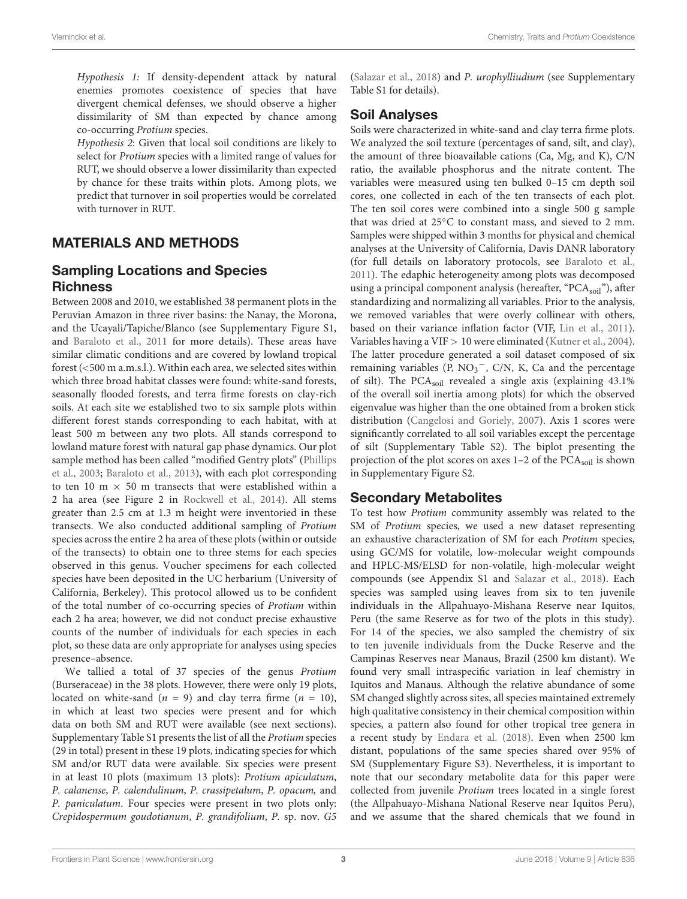Hypothesis 1: If density-dependent attack by natural enemies promotes coexistence of species that have divergent chemical defenses, we should observe a higher dissimilarity of SM than expected by chance among co-occurring Protium species.

Hypothesis 2: Given that local soil conditions are likely to select for Protium species with a limited range of values for RUT, we should observe a lower dissimilarity than expected by chance for these traits within plots. Among plots, we predict that turnover in soil properties would be correlated with turnover in RUT.

# MATERIALS AND METHODS

# Sampling Locations and Species **Richness**

Between 2008 and 2010, we established 38 permanent plots in the Peruvian Amazon in three river basins: the Nanay, the Morona, and the Ucayali/Tapiche/Blanco (see Supplementary Figure S1, and [Baraloto et al.,](#page-7-6) [2011](#page-7-6) for more details). These areas have similar climatic conditions and are covered by lowland tropical forest (<500 m a.m.s.l.). Within each area, we selected sites within which three broad habitat classes were found: white-sand forests, seasonally flooded forests, and terra firme forests on clay-rich soils. At each site we established two to six sample plots within different forest stands corresponding to each habitat, with at least 500 m between any two plots. All stands correspond to lowland mature forest with natural gap phase dynamics. Our plot sample method has been called "modified Gentry plots" [\(Phillips](#page-9-12) [et al.,](#page-9-12) [2003;](#page-9-12) [Baraloto et al.,](#page-7-7) [2013\)](#page-7-7), with each plot corresponding to ten 10 m  $\times$  50 m transects that were established within a 2 ha area (see Figure 2 in [Rockwell et al.,](#page-9-13) [2014\)](#page-9-13). All stems greater than 2.5 cm at 1.3 m height were inventoried in these transects. We also conducted additional sampling of Protium species across the entire 2 ha area of these plots (within or outside of the transects) to obtain one to three stems for each species observed in this genus. Voucher specimens for each collected species have been deposited in the UC herbarium (University of California, Berkeley). This protocol allowed us to be confident of the total number of co-occurring species of Protium within each 2 ha area; however, we did not conduct precise exhaustive counts of the number of individuals for each species in each plot, so these data are only appropriate for analyses using species presence–absence.

We tallied a total of 37 species of the genus Protium (Burseraceae) in the 38 plots. However, there were only 19 plots, located on white-sand  $(n = 9)$  and clay terra firme  $(n = 10)$ , in which at least two species were present and for which data on both SM and RUT were available (see next sections). Supplementary Table S1 presents the list of all the Protium species (29 in total) present in these 19 plots, indicating species for which SM and/or RUT data were available. Six species were present in at least 10 plots (maximum 13 plots): Protium apiculatum, P. calanense, P. calendulinum, P. crassipetalum, P. opacum, and P. paniculatum. Four species were present in two plots only: Crepidospermum goudotianum, P. grandifolium, P. sp. nov. G5

[\(Salazar et al.,](#page-9-11) [2018\)](#page-9-11) and P. urophylliudium (see Supplementary Table S1 for details).

# Soil Analyses

Soils were characterized in white-sand and clay terra firme plots. We analyzed the soil texture (percentages of sand, silt, and clay), the amount of three bioavailable cations (Ca, Mg, and K), C/N ratio, the available phosphorus and the nitrate content. The variables were measured using ten bulked 0–15 cm depth soil cores, one collected in each of the ten transects of each plot. The ten soil cores were combined into a single 500 g sample that was dried at 25◦C to constant mass, and sieved to 2 mm. Samples were shipped within 3 months for physical and chemical analyses at the University of California, Davis DANR laboratory (for full details on laboratory protocols, see [Baraloto et al.,](#page-7-6) [2011\)](#page-7-6). The edaphic heterogeneity among plots was decomposed using a principal component analysis (hereafter, " $PCA<sub>soil</sub>$ "), after standardizing and normalizing all variables. Prior to the analysis, we removed variables that were overly collinear with others, based on their variance inflation factor (VIF, [Lin et al.,](#page-8-23) [2011\)](#page-8-23). Variables having a VIF > 10 were eliminated [\(Kutner et al.,](#page-8-24) [2004\)](#page-8-24). The latter procedure generated a soil dataset composed of six remaining variables ( $\overline{P}$ , NO<sub>3</sub><sup>-</sup>, C/N, K, Ca and the percentage of silt). The PCAsoil revealed a single axis (explaining 43.1% of the overall soil inertia among plots) for which the observed eigenvalue was higher than the one obtained from a broken stick distribution [\(Cangelosi and Goriely,](#page-7-8) [2007\)](#page-7-8). Axis 1 scores were significantly correlated to all soil variables except the percentage of silt (Supplementary Table S2). The biplot presenting the projection of the plot scores on axes 1-2 of the PCA<sub>soil</sub> is shown in Supplementary Figure S2.

# Secondary Metabolites

To test how Protium community assembly was related to the SM of Protium species, we used a new dataset representing an exhaustive characterization of SM for each Protium species, using GC/MS for volatile, low-molecular weight compounds and HPLC-MS/ELSD for non-volatile, high-molecular weight compounds (see Appendix S1 and [Salazar et al.,](#page-9-11) [2018\)](#page-9-11). Each species was sampled using leaves from six to ten juvenile individuals in the Allpahuayo-Mishana Reserve near Iquitos, Peru (the same Reserve as for two of the plots in this study). For 14 of the species, we also sampled the chemistry of six to ten juvenile individuals from the Ducke Reserve and the Campinas Reserves near Manaus, Brazil (2500 km distant). We found very small intraspecific variation in leaf chemistry in Iquitos and Manaus. Although the relative abundance of some SM changed slightly across sites, all species maintained extremely high qualitative consistency in their chemical composition within species, a pattern also found for other tropical tree genera in a recent study by [Endara et al.](#page-8-25) [\(2018\)](#page-8-25). Even when 2500 km distant, populations of the same species shared over 95% of SM (Supplementary Figure S3). Nevertheless, it is important to note that our secondary metabolite data for this paper were collected from juvenile Protium trees located in a single forest (the Allpahuayo-Mishana National Reserve near Iquitos Peru), and we assume that the shared chemicals that we found in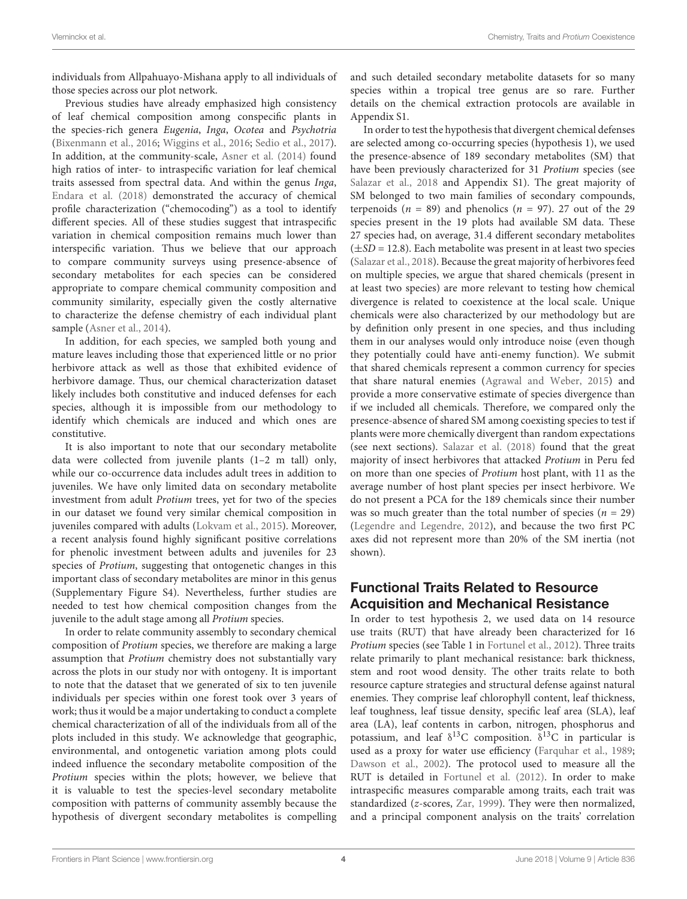individuals from Allpahuayo-Mishana apply to all individuals of those species across our plot network.

Previous studies have already emphasized high consistency of leaf chemical composition among conspecific plants in the species-rich genera Eugenia, Inga, Ocotea and Psychotria [\(Bixenmann et al.,](#page-7-9) [2016;](#page-7-9) [Wiggins et al.,](#page-9-14) [2016;](#page-9-14) [Sedio et al.,](#page-9-15) [2017\)](#page-9-15). In addition, at the community-scale, [Asner et al.](#page-7-10) [\(2014\)](#page-7-10) found high ratios of inter- to intraspecific variation for leaf chemical traits assessed from spectral data. And within the genus Inga, [Endara et al.](#page-8-25) [\(2018\)](#page-8-25) demonstrated the accuracy of chemical profile characterization ("chemocoding") as a tool to identify different species. All of these studies suggest that intraspecific variation in chemical composition remains much lower than interspecific variation. Thus we believe that our approach to compare community surveys using presence-absence of secondary metabolites for each species can be considered appropriate to compare chemical community composition and community similarity, especially given the costly alternative to characterize the defense chemistry of each individual plant sample [\(Asner et al.,](#page-7-10) [2014\)](#page-7-10).

In addition, for each species, we sampled both young and mature leaves including those that experienced little or no prior herbivore attack as well as those that exhibited evidence of herbivore damage. Thus, our chemical characterization dataset likely includes both constitutive and induced defenses for each species, although it is impossible from our methodology to identify which chemicals are induced and which ones are constitutive.

It is also important to note that our secondary metabolite data were collected from juvenile plants (1–2 m tall) only, while our co-occurrence data includes adult trees in addition to juveniles. We have only limited data on secondary metabolite investment from adult Protium trees, yet for two of the species in our dataset we found very similar chemical composition in juveniles compared with adults [\(Lokvam et al.,](#page-8-26) [2015\)](#page-8-26). Moreover, a recent analysis found highly significant positive correlations for phenolic investment between adults and juveniles for 23 species of Protium, suggesting that ontogenetic changes in this important class of secondary metabolites are minor in this genus (Supplementary Figure S4). Nevertheless, further studies are needed to test how chemical composition changes from the juvenile to the adult stage among all Protium species.

In order to relate community assembly to secondary chemical composition of Protium species, we therefore are making a large assumption that Protium chemistry does not substantially vary across the plots in our study nor with ontogeny. It is important to note that the dataset that we generated of six to ten juvenile individuals per species within one forest took over 3 years of work; thus it would be a major undertaking to conduct a complete chemical characterization of all of the individuals from all of the plots included in this study. We acknowledge that geographic, environmental, and ontogenetic variation among plots could indeed influence the secondary metabolite composition of the Protium species within the plots; however, we believe that it is valuable to test the species-level secondary metabolite composition with patterns of community assembly because the hypothesis of divergent secondary metabolites is compelling and such detailed secondary metabolite datasets for so many species within a tropical tree genus are so rare. Further details on the chemical extraction protocols are available in Appendix S1.

In order to test the hypothesis that divergent chemical defenses are selected among co-occurring species (hypothesis 1), we used the presence-absence of 189 secondary metabolites (SM) that have been previously characterized for 31 Protium species (see [Salazar et al.,](#page-9-11) [2018](#page-9-11) and Appendix S1). The great majority of SM belonged to two main families of secondary compounds, terpenoids  $(n = 89)$  and phenolics  $(n = 97)$ . 27 out of the 29 species present in the 19 plots had available SM data. These 27 species had, on average, 31.4 different secondary metabolites  $(\pm SD = 12.8)$ . Each metabolite was present in at least two species [\(Salazar et al.,](#page-9-11) [2018\)](#page-9-11). Because the great majority of herbivores feed on multiple species, we argue that shared chemicals (present in at least two species) are more relevant to testing how chemical divergence is related to coexistence at the local scale. Unique chemicals were also characterized by our methodology but are by definition only present in one species, and thus including them in our analyses would only introduce noise (even though they potentially could have anti-enemy function). We submit that shared chemicals represent a common currency for species that share natural enemies [\(Agrawal and Weber,](#page-7-1) [2015\)](#page-7-1) and provide a more conservative estimate of species divergence than if we included all chemicals. Therefore, we compared only the presence-absence of shared SM among coexisting species to test if plants were more chemically divergent than random expectations (see next sections). [Salazar et al.](#page-9-11) [\(2018\)](#page-9-11) found that the great majority of insect herbivores that attacked Protium in Peru fed on more than one species of Protium host plant, with 11 as the average number of host plant species per insect herbivore. We do not present a PCA for the 189 chemicals since their number was so much greater than the total number of species ( $n = 29$ ) [\(Legendre and Legendre,](#page-8-27) [2012\)](#page-8-27), and because the two first PC axes did not represent more than 20% of the SM inertia (not shown).

# Functional Traits Related to Resource Acquisition and Mechanical Resistance

In order to test hypothesis 2, we used data on 14 resource use traits (RUT) that have already been characterized for 16 Protium species (see Table 1 in [Fortunel et al.,](#page-8-28) [2012\)](#page-8-28). Three traits relate primarily to plant mechanical resistance: bark thickness, stem and root wood density. The other traits relate to both resource capture strategies and structural defense against natural enemies. They comprise leaf chlorophyll content, leaf thickness, leaf toughness, leaf tissue density, specific leaf area (SLA), leaf area (LA), leaf contents in carbon, nitrogen, phosphorus and potassium, and leaf  $\delta^{13}C$  composition.  $\delta^{13}C$  in particular is used as a proxy for water use efficiency [\(Farquhar et al.,](#page-8-29) [1989;](#page-8-29) [Dawson et al.,](#page-8-30) [2002\)](#page-8-30). The protocol used to measure all the RUT is detailed in [Fortunel et al.](#page-8-28) [\(2012\)](#page-8-28). In order to make intraspecific measures comparable among traits, each trait was standardized (z-scores, [Zar,](#page-9-16) [1999\)](#page-9-16). They were then normalized, and a principal component analysis on the traits' correlation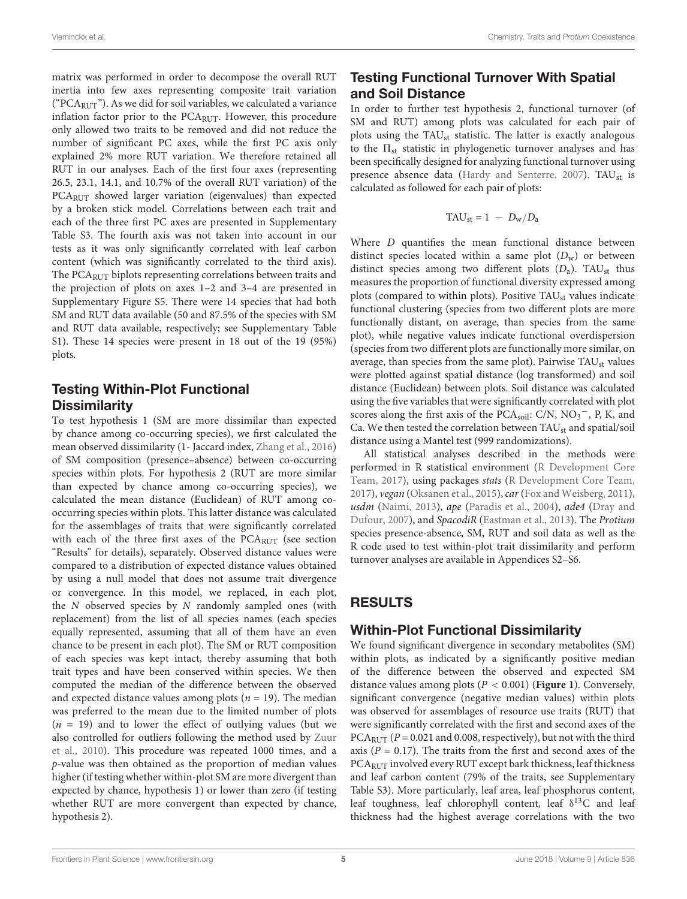matrix was performed in order to decompose the overall RUT inertia into few axes representing composite trait variation (" $PCA<sub>RITT</sub>$ "). As we did for soil variables, we calculated a variance inflation factor prior to the  $PCA_{RUT}$ . However, this procedure only allowed two traits to be removed and did not reduce the number of significant PC axes, while the first PC axis only explained 2% more RUT variation. We therefore retained all RUT in our analyses. Each of the first four axes (representing 26.5, 23.1, 14.1, and 10.7% of the overall RUT variation) of the PCARUT showed larger variation (eigenvalues) than expected by a broken stick model. Correlations between each trait and each of the three first PC axes are presented in Supplementary Table S3. The fourth axis was not taken into account in our tests as it was only significantly correlated with leaf carbon content (which was significantly correlated to the third axis). The PCA<sub>RUT</sub> biplots representing correlations between traits and the projection of plots on axes 1–2 and 3–4 are presented in Supplementary Figure S5. There were 14 species that had both SM and RUT data available (50 and 87.5% of the species with SM and RUT data available, respectively; see Supplementary Table S1). These 14 species were present in 18 out of the 19 (95%) plots.

# Testing Within-Plot Functional **Dissimilarity**

To test hypothesis 1 (SM are more dissimilar than expected by chance among co-occurring species), we first calculated the mean observed dissimilarity (1- Jaccard index, [Zhang et al.,](#page-9-17) [2016\)](#page-9-17) of SM composition (presence–absence) between co-occurring species within plots. For hypothesis 2 (RUT are more similar than expected by chance among co-occurring species), we calculated the mean distance (Euclidean) of RUT among cooccurring species within plots. This latter distance was calculated for the assemblages of traits that were significantly correlated with each of the three first axes of the PCARUT (see section "Results" for details), separately. Observed distance values were compared to a distribution of expected distance values obtained by using a null model that does not assume trait divergence or convergence. In this model, we replaced, in each plot, the N observed species by N randomly sampled ones (with replacement) from the list of all species names (each species equally represented, assuming that all of them have an even chance to be present in each plot). The SM or RUT composition of each species was kept intact, thereby assuming that both trait types and have been conserved within species. We then computed the median of the difference between the observed and expected distance values among plots ( $n = 19$ ). The median was preferred to the mean due to the limited number of plots  $(n = 19)$  and to lower the effect of outlying values (but we also controlled for outliers following the method used by [Zuur](#page-9-18) [et al.,](#page-9-18) [2010\)](#page-9-18). This procedure was repeated 1000 times, and a p-value was then obtained as the proportion of median values higher (if testing whether within-plot SM are more divergent than expected by chance, hypothesis 1) or lower than zero (if testing whether RUT are more convergent than expected by chance, hypothesis 2).

# Testing Functional Turnover With Spatial and Soil Distance

In order to further test hypothesis 2, functional turnover (of SM and RUT) among plots was calculated for each pair of plots using the TAU<sub>st</sub> statistic. The latter is exactly analogous to the  $\Pi_{st}$  statistic in phylogenetic turnover analyses and has been specifically designed for analyzing functional turnover using presence absence data [\(Hardy and Senterre,](#page-8-31) [2007\)](#page-8-31). TAUst is calculated as followed for each pair of plots:

$$
TAU_{st} = 1 - D_w/D_a
$$

Where *D* quantifies the mean functional distance between distinct species located within a same plot  $(D_w)$  or between distinct species among two different plots  $(D_a)$ . TAU<sub>st</sub> thus measures the proportion of functional diversity expressed among plots (compared to within plots). Positive TAU<sub>st</sub> values indicate functional clustering (species from two different plots are more functionally distant, on average, than species from the same plot), while negative values indicate functional overdispersion (species from two different plots are functionally more similar, on average, than species from the same plot). Pairwise  $TAU_{st}$  values were plotted against spatial distance (log transformed) and soil distance (Euclidean) between plots. Soil distance was calculated using the five variables that were significantly correlated with plot scores along the first axis of the PCA<sub>soil</sub>: C/N, NO<sub>3</sub><sup>-</sup>, P, K, and Ca. We then tested the correlation between  $TAU_{st}$  and spatial/soil distance using a Mantel test (999 randomizations).

All statistical analyses described in the methods were performed in R statistical environment [\(R Development Core](#page-9-19) [Team,](#page-9-19) [2017\)](#page-9-19), using packages stats [\(R Development Core Team,](#page-9-19) [2017\)](#page-9-19), vegan [\(Oksanen et al.,](#page-8-32) [2015\)](#page-8-32), car [\(Fox and Weisberg,](#page-8-33) [2011\)](#page-8-33), usdm [\(Naimi,](#page-8-34) [2013\)](#page-8-34), ape [\(Paradis et al.,](#page-9-20) [2004\)](#page-9-20), ade4 [\(Dray and](#page-8-35) [Dufour,](#page-8-35) [2007\)](#page-8-35), and SpacodiR [\(Eastman et al.,](#page-8-36) [2013\)](#page-8-36). The Protium species presence-absence, SM, RUT and soil data as well as the R code used to test within-plot trait dissimilarity and perform turnover analyses are available in Appendices S2–S6.

# RESULTS

# Within-Plot Functional Dissimilarity

We found significant divergence in secondary metabolites (SM) within plots, as indicated by a significantly positive median of the difference between the observed and expected SM distance values among plots (P < 0.001) (**[Figure 1](#page-5-0)**). Conversely, significant convergence (negative median values) within plots was observed for assemblages of resource use traits (RUT) that were significantly correlated with the first and second axes of the PCA<sub>RUT</sub> ( $P = 0.021$  and 0.008, respectively), but not with the third axis ( $P = 0.17$ ). The traits from the first and second axes of the PCARUT involved every RUT except bark thickness, leaf thickness and leaf carbon content (79% of the traits, see Supplementary Table S3). More particularly, leaf area, leaf phosphorus content, leaf toughness, leaf chlorophyll content, leaf  $\delta^{13}C$  and leaf thickness had the highest average correlations with the two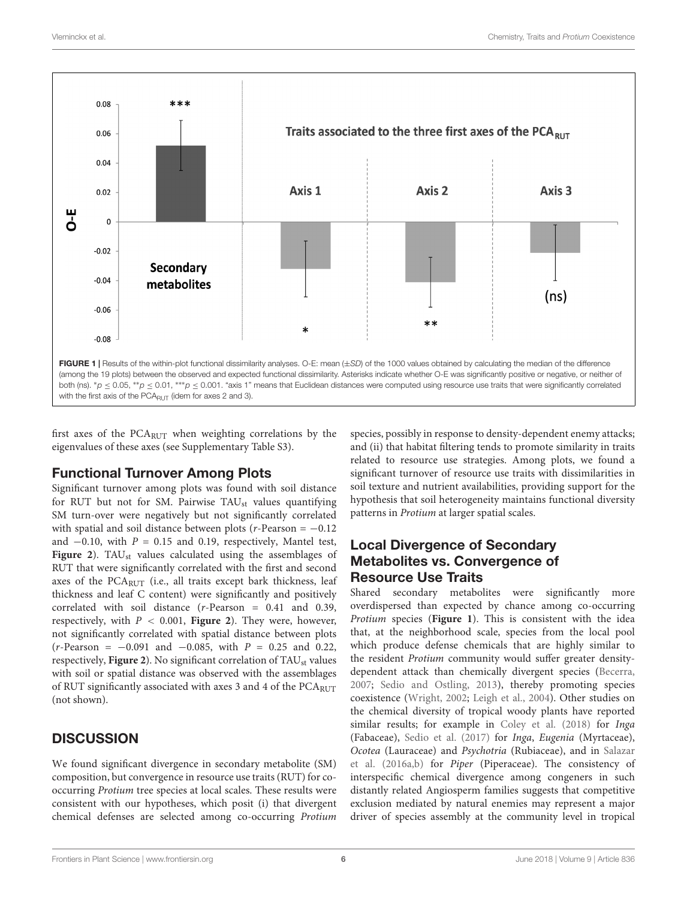

<span id="page-5-0"></span>first axes of the PCARUT when weighting correlations by the eigenvalues of these axes (see Supplementary Table S3).

# Functional Turnover Among Plots

Significant turnover among plots was found with soil distance for RUT but not for SM. Pairwise  $TAU_{st}$  values quantifying SM turn-over were negatively but not significantly correlated with spatial and soil distance between plots ( $r$ -Pearson =  $-0.12$ ) and  $-0.10$ , with  $P = 0.15$  and 0.19, respectively, Mantel test, [Figure 2](#page-6-0)). TAU<sub>st</sub> values calculated using the assemblages of RUT that were significantly correlated with the first and second axes of the  $PCA_{RUT}$  (i.e., all traits except bark thickness, leaf thickness and leaf C content) were significantly and positively correlated with soil distance (r-Pearson = 0.41 and 0.39, respectively, with P < 0.001, **[Figure 2](#page-6-0)**). They were, however, not significantly correlated with spatial distance between plots  $(r\text{-Pearson} = -0.091 \text{ and } -0.085, \text{ with } P = 0.25 \text{ and } 0.22,$ respectively, [Figure 2](#page-6-0)). No significant correlation of TAU<sub>st</sub> values with soil or spatial distance was observed with the assemblages of RUT significantly associated with axes 3 and 4 of the  $PCA<sub>RITT</sub>$ (not shown).

# **DISCUSSION**

We found significant divergence in secondary metabolite (SM) composition, but convergence in resource use traits (RUT) for cooccurring Protium tree species at local scales. These results were consistent with our hypotheses, which posit (i) that divergent chemical defenses are selected among co-occurring Protium

species, possibly in response to density-dependent enemy attacks; and (ii) that habitat filtering tends to promote similarity in traits related to resource use strategies. Among plots, we found a significant turnover of resource use traits with dissimilarities in soil texture and nutrient availabilities, providing support for the hypothesis that soil heterogeneity maintains functional diversity patterns in Protium at larger spatial scales.

# Local Divergence of Secondary Metabolites vs. Convergence of Resource Use Traits

Shared secondary metabolites were significantly more overdispersed than expected by chance among co-occurring Protium species (**[Figure 1](#page-5-0)**). This is consistent with the idea that, at the neighborhood scale, species from the local pool which produce defense chemicals that are highly similar to the resident Protium community would suffer greater densitydependent attack than chemically divergent species [\(Becerra,](#page-7-2) [2007;](#page-7-2) [Sedio and Ostling,](#page-9-5) [2013\)](#page-9-5), thereby promoting species coexistence [\(Wright,](#page-9-3) [2002;](#page-9-3) [Leigh et al.,](#page-8-37) [2004\)](#page-8-37). Other studies on the chemical diversity of tropical woody plants have reported similar results; for example in [Coley et al.](#page-7-3) [\(2018\)](#page-7-3) for Inga (Fabaceae), [Sedio et al.](#page-9-15) [\(2017\)](#page-9-15) for Inga, Eugenia (Myrtaceae), Ocotea (Lauraceae) and Psychotria (Rubiaceae), and in [Salazar](#page-9-6) [et al.](#page-9-6) [\(2016a](#page-9-6)[,b\)](#page-9-21) for Piper (Piperaceae). The consistency of interspecific chemical divergence among congeners in such distantly related Angiosperm families suggests that competitive exclusion mediated by natural enemies may represent a major driver of species assembly at the community level in tropical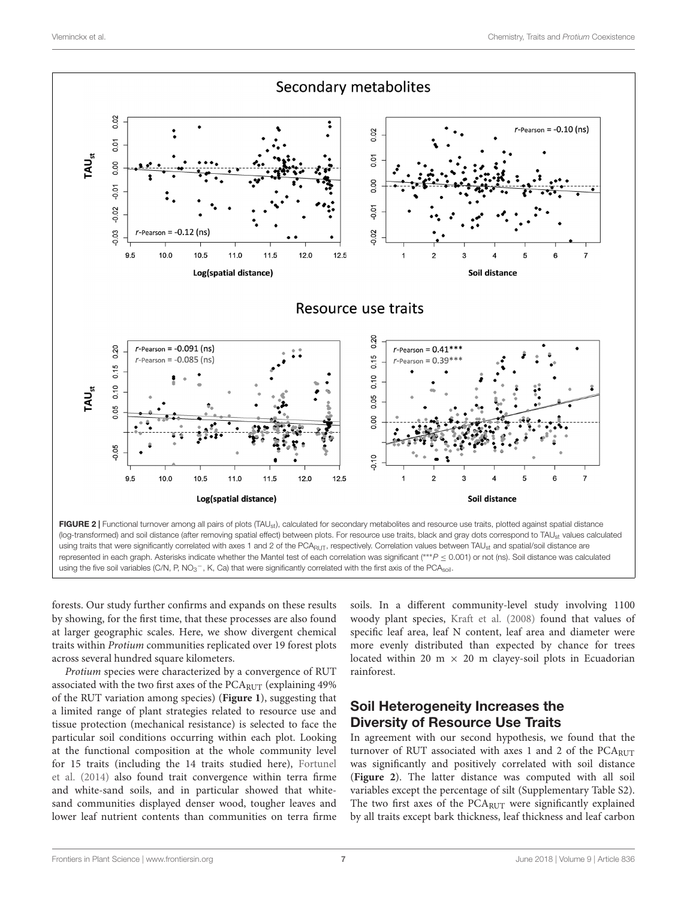

<span id="page-6-0"></span>using the five soil variables (C/N, P, NO<sub>3</sub><sup>-</sup>, K, Ca) that were significantly correlated with the first axis of the PCA<sub>soil</sub>.

forests. Our study further confirms and expands on these results by showing, for the first time, that these processes are also found at larger geographic scales. Here, we show divergent chemical traits within Protium communities replicated over 19 forest plots across several hundred square kilometers.

Protium species were characterized by a convergence of RUT associated with the two first axes of the PCA<sub>RUT</sub> (explaining 49%) of the RUT variation among species) (**[Figure 1](#page-5-0)**), suggesting that a limited range of plant strategies related to resource use and tissue protection (mechanical resistance) is selected to face the particular soil conditions occurring within each plot. Looking at the functional composition at the whole community level for 15 traits (including the 14 traits studied here), [Fortunel](#page-8-17) [et al.](#page-8-17) [\(2014\)](#page-8-17) also found trait convergence within terra firme and white-sand soils, and in particular showed that whitesand communities displayed denser wood, tougher leaves and lower leaf nutrient contents than communities on terra firme soils. In a different community-level study involving 1100 woody plant species, [Kraft et al.](#page-8-14) [\(2008\)](#page-8-14) found that values of specific leaf area, leaf N content, leaf area and diameter were more evenly distributed than expected by chance for trees located within 20 m  $\times$  20 m clayey-soil plots in Ecuadorian rainforest.

# Soil Heterogeneity Increases the Diversity of Resource Use Traits

In agreement with our second hypothesis, we found that the turnover of RUT associated with axes 1 and 2 of the  $PCA<sub>RUT</sub>$ was significantly and positively correlated with soil distance (**[Figure 2](#page-6-0)**). The latter distance was computed with all soil variables except the percentage of silt (Supplementary Table S2). The two first axes of the PCARUT were significantly explained by all traits except bark thickness, leaf thickness and leaf carbon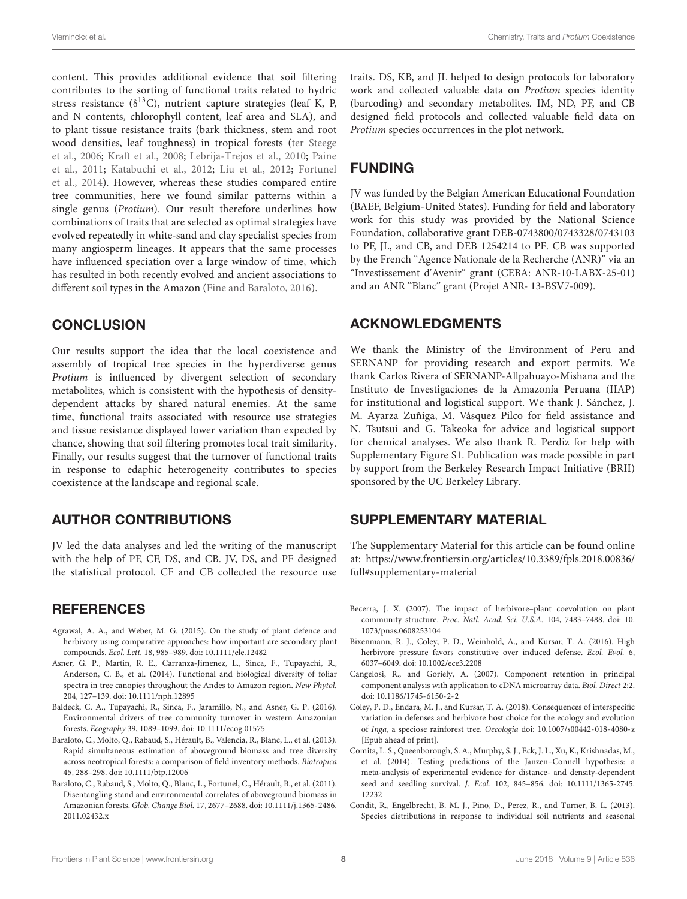content. This provides additional evidence that soil filtering contributes to the sorting of functional traits related to hydric stress resistance ( $\delta^{13}$ C), nutrient capture strategies (leaf K, P, and N contents, chlorophyll content, leaf area and SLA), and to plant tissue resistance traits (bark thickness, stem and root wood densities, leaf toughness) in tropical forests [\(ter Steege](#page-9-22) [et al.,](#page-9-22) [2006;](#page-9-22) [Kraft et al.,](#page-8-14) [2008;](#page-8-14) [Lebrija-Trejos et al.,](#page-8-38) [2010;](#page-8-38) [Paine](#page-8-39) [et al.,](#page-8-39) [2011;](#page-8-39) [Katabuchi et al.,](#page-8-40) [2012;](#page-8-40) [Liu et al.,](#page-8-41) [2012;](#page-8-41) [Fortunel](#page-8-17) [et al.,](#page-8-17) [2014\)](#page-8-17). However, whereas these studies compared entire tree communities, here we found similar patterns within a single genus (Protium). Our result therefore underlines how combinations of traits that are selected as optimal strategies have evolved repeatedly in white-sand and clay specialist species from many angiosperm lineages. It appears that the same processes have influenced speciation over a large window of time, which has resulted in both recently evolved and ancient associations to different soil types in the Amazon [\(Fine and Baraloto,](#page-8-42) [2016\)](#page-8-42).

# **CONCLUSION**

Our results support the idea that the local coexistence and assembly of tropical tree species in the hyperdiverse genus Protium is influenced by divergent selection of secondary metabolites, which is consistent with the hypothesis of densitydependent attacks by shared natural enemies. At the same time, functional traits associated with resource use strategies and tissue resistance displayed lower variation than expected by chance, showing that soil filtering promotes local trait similarity. Finally, our results suggest that the turnover of functional traits in response to edaphic heterogeneity contributes to species coexistence at the landscape and regional scale.

# AUTHOR CONTRIBUTIONS

JV led the data analyses and led the writing of the manuscript with the help of PF, CF, DS, and CB. JV, DS, and PF designed the statistical protocol. CF and CB collected the resource use

# **REFERENCES**

- <span id="page-7-1"></span>Agrawal, A. A., and Weber, M. G. (2015). On the study of plant defence and herbivory using comparative approaches: how important are secondary plant compounds. Ecol. Lett. 18, 985–989. [doi: 10.1111/ele.12482](https://doi.org/10.1111/ele.12482)
- <span id="page-7-10"></span>Asner, G. P., Martin, R. E., Carranza-Jimenez, L., Sinca, F., Tupayachi, R., Anderson, C. B., et al. (2014). Functional and biological diversity of foliar spectra in tree canopies throughout the Andes to Amazon region. New Phytol. 204, 127–139. [doi: 10.1111/nph.12895](https://doi.org/10.1111/nph.12895)
- <span id="page-7-5"></span>Baldeck, C. A., Tupayachi, R., Sinca, F., Jaramillo, N., and Asner, G. P. (2016). Environmental drivers of tree community turnover in western Amazonian forests. Ecography 39, 1089–1099. [doi: 10.1111/ecog.01575](https://doi.org/10.1111/ecog.01575)
- <span id="page-7-7"></span>Baraloto, C., Molto, Q., Rabaud, S., Hérault, B., Valencia, R., Blanc, L., et al. (2013). Rapid simultaneous estimation of aboveground biomass and tree diversity across neotropical forests: a comparison of field inventory methods. Biotropica 45, 288–298. [doi: 10.1111/btp.12006](https://doi.org/10.1111/btp.12006)
- <span id="page-7-6"></span>Baraloto, C., Rabaud, S., Molto, Q., Blanc, L., Fortunel, C., Hérault, B., et al. (2011). Disentangling stand and environmental correlates of aboveground biomass in Amazonian forests. Glob. Change Biol. 17, 2677–2688. [doi: 10.1111/j.1365-2486.](https://doi.org/10.1111/j.1365-2486.2011.02432.x) [2011.02432.x](https://doi.org/10.1111/j.1365-2486.2011.02432.x)

traits. DS, KB, and JL helped to design protocols for laboratory work and collected valuable data on Protium species identity (barcoding) and secondary metabolites. IM, ND, PF, and CB designed field protocols and collected valuable field data on Protium species occurrences in the plot network.

# FUNDING

JV was funded by the Belgian American Educational Foundation (BAEF, Belgium-United States). Funding for field and laboratory work for this study was provided by the National Science Foundation, collaborative grant DEB-0743800/0743328/0743103 to PF, JL, and CB, and DEB 1254214 to PF. CB was supported by the French "Agence Nationale de la Recherche (ANR)" via an "Investissement d'Avenir" grant (CEBA: ANR-10-LABX-25-01) and an ANR "Blanc" grant (Projet ANR- 13-BSV7-009).

# ACKNOWLEDGMENTS

We thank the Ministry of the Environment of Peru and SERNANP for providing research and export permits. We thank Carlos Rivera of SERNANP-Allpahuayo-Mishana and the Instituto de Investigaciones de la Amazonía Peruana (IIAP) for institutional and logistical support. We thank J. Sánchez, J. M. Ayarza Zuñiga, M. Vásquez Pilco for field assistance and N. Tsutsui and G. Takeoka for advice and logistical support for chemical analyses. We also thank R. Perdiz for help with Supplementary Figure S1. Publication was made possible in part by support from the Berkeley Research Impact Initiative (BRII) sponsored by the UC Berkeley Library.

# SUPPLEMENTARY MATERIAL

The Supplementary Material for this article can be found online at: [https://www.frontiersin.org/articles/10.3389/fpls.2018.00836/](https://www.frontiersin.org/articles/10.3389/fpls.2018.00836/full#supplementary-material) [full#supplementary-material](https://www.frontiersin.org/articles/10.3389/fpls.2018.00836/full#supplementary-material)

- <span id="page-7-2"></span>Becerra, J. X. (2007). The impact of herbivore–plant coevolution on plant community structure. Proc. Natl. Acad. Sci. U.S.A. 104, 7483–7488. [doi: 10.](https://doi.org/10.1073/pnas.0608253104) [1073/pnas.0608253104](https://doi.org/10.1073/pnas.0608253104)
- <span id="page-7-9"></span>Bixenmann, R. J., Coley, P. D., Weinhold, A., and Kursar, T. A. (2016). High herbivore pressure favors constitutive over induced defense. Ecol. Evol. 6, 6037–6049. [doi: 10.1002/ece3.2208](https://doi.org/10.1002/ece3.2208)
- <span id="page-7-8"></span>Cangelosi, R., and Goriely, A. (2007). Component retention in principal component analysis with application to cDNA microarray data. Biol. Direct 2:2. [doi: 10.1186/1745-6150-2-2](https://doi.org/10.1186/1745-6150-2-2)
- <span id="page-7-3"></span>Coley, P. D., Endara, M. J., and Kursar, T. A. (2018). Consequences of interspecific variation in defenses and herbivore host choice for the ecology and evolution of Inga, a speciose rainforest tree. Oecologia [doi: 10.1007/s00442-018-4080-z](https://doi.org/10.1007/s00442-018-4080-z) [Epub ahead of print].
- <span id="page-7-0"></span>Comita, L. S., Queenborough, S. A., Murphy, S. J., Eck, J. L., Xu, K., Krishnadas, M., et al. (2014). Testing predictions of the Janzen–Connell hypothesis: a meta-analysis of experimental evidence for distance- and density-dependent seed and seedling survival. J. Ecol. 102, 845–856. [doi: 10.1111/1365-2745.](https://doi.org/10.1111/1365-2745.12232) [12232](https://doi.org/10.1111/1365-2745.12232)
- <span id="page-7-4"></span>Condit, R., Engelbrecht, B. M. J., Pino, D., Perez, R., and Turner, B. L. (2013). Species distributions in response to individual soil nutrients and seasonal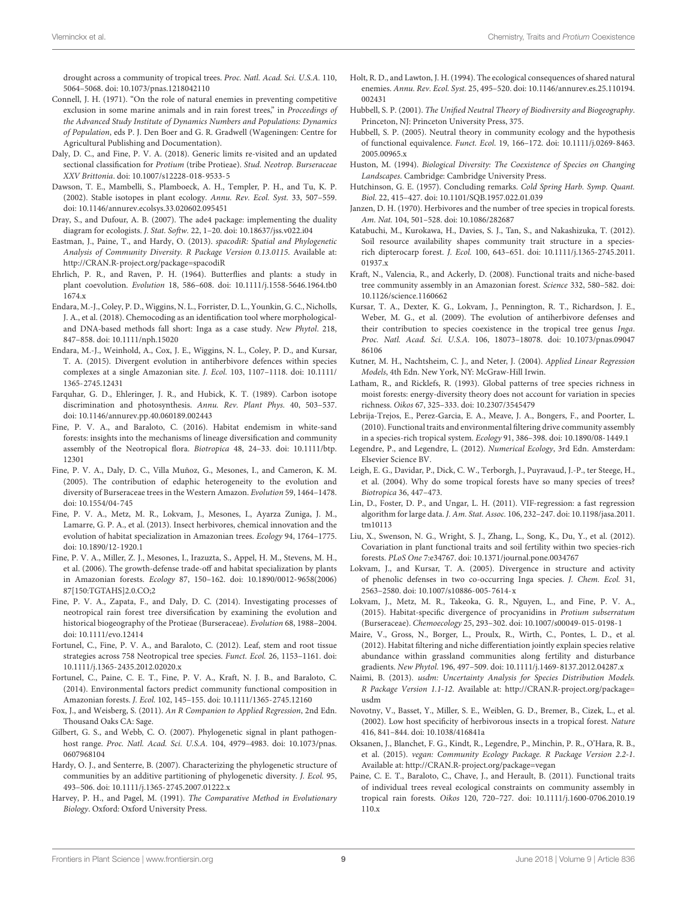drought across a community of tropical trees. Proc. Natl. Acad. Sci. U.S.A. 110, 5064–5068. [doi: 10.1073/pnas.1218042110](https://doi.org/10.1073/pnas.1218042110)

- <span id="page-8-6"></span>Connell, J. H. (1971). "On the role of natural enemies in preventing competitive exclusion in some marine animals and in rain forest trees," in Proceedings of the Advanced Study Institute of Dynamics Numbers and Populations: Dynamics of Population, eds P. J. Den Boer and G. R. Gradwell (Wageningen: Centre for Agricultural Publishing and Documentation).
- <span id="page-8-21"></span>Daly, D. C., and Fine, P. V. A. (2018). Generic limits re-visited and an updated sectional classification for Protium (tribe Protieae). Stud. Neotrop. Burseraceae XXV Brittonia. [doi: 10.1007/s12228-018-9533-5](https://doi.org/10.1007/s12228-018-9533-5)
- <span id="page-8-30"></span>Dawson, T. E., Mambelli, S., Plamboeck, A. H., Templer, P. H., and Tu, K. P. (2002). Stable isotopes in plant ecology. Annu. Rev. Ecol. Syst. 33, 507–559. [doi: 10.1146/annurev.ecolsys.33.020602.095451](https://doi.org/10.1146/annurev.ecolsys.33.020602.095451)
- <span id="page-8-35"></span>Dray, S., and Dufour, A. B. (2007). The ade4 package: implementing the duality diagram for ecologists. J. Stat. Softw. 22, 1–20. [doi: 10.18637/jss.v022.i04](https://doi.org/10.18637/jss.v022.i04)
- <span id="page-8-36"></span>Eastman, J., Paine, T., and Hardy, O. (2013). spacodiR: Spatial and Phylogenetic Analysis of Community Diversity. R Package Version 0.13.0115. Available at: <http://CRAN.R-project.org/package=spacodiR>
- <span id="page-8-12"></span>Ehrlich, P. R., and Raven, P. H. (1964). Butterflies and plants: a study in plant coevolution. Evolution 18, 586–608. [doi: 10.1111/j.1558-5646.1964.tb0](https://doi.org/10.1111/j.1558-5646.1964.tb01674.x) [1674.x](https://doi.org/10.1111/j.1558-5646.1964.tb01674.x)
- <span id="page-8-25"></span>Endara, M.-J., Coley, P. D., Wiggins, N. L., Forrister, D. L., Younkin, G. C., Nicholls, J. A., et al. (2018). Chemocoding as an identification tool where morphologicaland DNA-based methods fall short: Inga as a case study. New Phytol. 218, 847–858. [doi: 10.1111/nph.15020](https://doi.org/10.1111/nph.15020)
- <span id="page-8-19"></span>Endara, M.-J., Weinhold, A., Cox, J. E., Wiggins, N. L., Coley, P. D., and Kursar, T. A. (2015). Divergent evolution in antiherbivore defences within species complexes at a single Amazonian site. J. Ecol. 103, 1107–1118. [doi: 10.1111/](https://doi.org/10.1111/1365-2745.12431) [1365-2745.12431](https://doi.org/10.1111/1365-2745.12431)
- <span id="page-8-29"></span>Farquhar, G. D., Ehleringer, J. R., and Hubick, K. T. (1989). Carbon isotope discrimination and photosynthesis. Annu. Rev. Plant Phys. 40, 503–537. [doi: 10.1146/annurev.pp.40.060189.002443](https://doi.org/10.1146/annurev.pp.40.060189.002443)
- <span id="page-8-42"></span>Fine, P. V. A., and Baraloto, C. (2016). Habitat endemism in white-sand forests: insights into the mechanisms of lineage diversification and community assembly of the Neotropical flora. Biotropica 48, 24–33. [doi: 10.1111/btp.](https://doi.org/10.1111/btp.12301) [12301](https://doi.org/10.1111/btp.12301)
- <span id="page-8-22"></span>Fine, P. V. A., Daly, D. C., Villa Muñoz, G., Mesones, I., and Cameron, K. M. (2005). The contribution of edaphic heterogeneity to the evolution and diversity of Burseraceae trees in the Western Amazon. Evolution 59, 1464–1478. [doi: 10.1554/04-745](https://doi.org/10.1554/04-745)
- <span id="page-8-18"></span>Fine, P. V. A., Metz, M. R., Lokvam, J., Mesones, I., Ayarza Zuniga, J. M., Lamarre, G. P. A., et al. (2013). Insect herbivores, chemical innovation and the evolution of habitat specialization in Amazonian trees. Ecology 94, 1764–1775. [doi: 10.1890/12-1920.1](https://doi.org/10.1890/12-1920.1)
- <span id="page-8-16"></span>Fine, P. V. A., Miller, Z. J., Mesones, I., Irazuzta, S., Appel, H. M., Stevens, M. H., et al. (2006). The growth-defense trade-off and habitat specialization by plants in Amazonian forests. Ecology 87, 150–162. [doi: 10.1890/0012-9658\(2006\)](https://doi.org/10.1890/0012-9658(2006)87[150:TGTAHS]2.0.CO;2) [87\[150:TGTAHS\]2.0.CO;2](https://doi.org/10.1890/0012-9658(2006)87[150:TGTAHS]2.0.CO;2)
- <span id="page-8-20"></span>Fine, P. V. A., Zapata, F., and Daly, D. C. (2014). Investigating processes of neotropical rain forest tree diversification by examining the evolution and historical biogeography of the Protieae (Burseraceae). Evolution 68, 1988–2004. [doi: 10.1111/evo.12414](https://doi.org/10.1111/evo.12414)
- <span id="page-8-28"></span>Fortunel, C., Fine, P. V. A., and Baraloto, C. (2012). Leaf, stem and root tissue strategies across 758 Neotropical tree species. Funct. Ecol. 26, 1153–1161. [doi:](https://doi.org/10.1111/j.1365-2435.2012.02020.x) [10.1111/j.1365-2435.2012.02020.x](https://doi.org/10.1111/j.1365-2435.2012.02020.x)
- <span id="page-8-17"></span>Fortunel, C., Paine, C. E. T., Fine, P. V. A., Kraft, N. J. B., and Baraloto, C. (2014). Environmental factors predict community functional composition in Amazonian forests. J. Ecol. 102, 145–155. [doi: 10.1111/1365-2745.12160](https://doi.org/10.1111/1365-2745.12160)
- <span id="page-8-33"></span>Fox, J., and Weisberg, S. (2011). An R Companion to Applied Regression, 2nd Edn. Thousand Oaks CA: Sage.
- <span id="page-8-10"></span>Gilbert, G. S., and Webb, C. O. (2007). Phylogenetic signal in plant pathogenhost range. Proc. Natl. Acad. Sci. U.S.A. 104, 4979–4983. [doi: 10.1073/pnas.](https://doi.org/10.1073/pnas.0607968104) [0607968104](https://doi.org/10.1073/pnas.0607968104)
- <span id="page-8-31"></span>Hardy, O. J., and Senterre, B. (2007). Characterizing the phylogenetic structure of communities by an additive partitioning of phylogenetic diversity. J. Ecol. 95, 493–506. [doi: 10.1111/j.1365-2745.2007.01222.x](https://doi.org/10.1111/j.1365-2745.2007.01222.x)
- <span id="page-8-2"></span>Harvey, P. H., and Pagel, M. (1991). The Comparative Method in Evolutionary Biology. Oxford: Oxford University Press.
- <span id="page-8-8"></span>Holt, R. D., and Lawton, J. H. (1994). The ecological consequences of shared natural enemies. Annu. Rev. Ecol. Syst. 25, 495–520. [doi: 10.1146/annurev.es.25.110194.](https://doi.org/10.1146/annurev.es.25.110194.002431) [002431](https://doi.org/10.1146/annurev.es.25.110194.002431)
- <span id="page-8-4"></span>Hubbell, S. P. (2001). The Unified Neutral Theory of Biodiversity and Biogeography. Princeton, NJ: Princeton University Press, 375.
- <span id="page-8-3"></span>Hubbell, S. P. (2005). Neutral theory in community ecology and the hypothesis of functional equivalence. Funct. Ecol. 19, 166–172. [doi: 10.1111/j.0269-8463.](https://doi.org/10.1111/j.0269-8463.2005.00965.x) 2005.00965x
- <span id="page-8-7"></span>Huston, M. (1994). Biological Diversity: The Coexistence of Species on Changing Landscapes. Cambridge: Cambridge University Press.
- <span id="page-8-1"></span>Hutchinson, G. E. (1957). Concluding remarks. Cold Spring Harb. Symp. Quant. Biol. 22, 415–427. [doi: 10.1101/SQB.1957.022.01.039](https://doi.org/10.1101/SQB.1957.022.01.039)
- <span id="page-8-5"></span>Janzen, D. H. (1970). Herbivores and the number of tree species in tropical forests. Am. Nat. 104, 501–528. [doi: 10.1086/282687](https://doi.org/10.1086/282687)
- <span id="page-8-40"></span>Katabuchi, M., Kurokawa, H., Davies, S. J., Tan, S., and Nakashizuka, T. (2012). Soil resource availability shapes community trait structure in a speciesrich dipterocarp forest. J. Ecol. 100, 643–651. [doi: 10.1111/j.1365-2745.2011.](https://doi.org/10.1111/j.1365-2745.2011.01937.x) [01937.x](https://doi.org/10.1111/j.1365-2745.2011.01937.x)
- <span id="page-8-14"></span>Kraft, N., Valencia, R., and Ackerly, D. (2008). Functional traits and niche-based tree community assembly in an Amazonian forest. Science 332, 580–582. [doi:](https://doi.org/10.1126/science.1160662) [10.1126/science.1160662](https://doi.org/10.1126/science.1160662)
- <span id="page-8-13"></span>Kursar, T. A., Dexter, K. G., Lokvam, J., Pennington, R. T., Richardson, J. E., Weber, M. G., et al. (2009). The evolution of antiherbivore defenses and their contribution to species coexistence in the tropical tree genus Inga. Proc. Natl. Acad. Sci. U.S.A. 106, 18073–18078. [doi: 10.1073/pnas.09047](https://doi.org/10.1073/pnas.0904786106) [86106](https://doi.org/10.1073/pnas.0904786106)
- <span id="page-8-24"></span>Kutner, M. H., Nachtsheim, C. J., and Neter, J. (2004). Applied Linear Regression Models, 4th Edn. New York, NY: McGraw-Hill Irwin.
- <span id="page-8-0"></span>Latham, R., and Ricklefs, R. (1993). Global patterns of tree species richness in moist forests: energy-diversity theory does not account for variation in species richness. Oikos 67, 325–333. [doi: 10.2307/3545479](https://doi.org/10.2307/3545479)
- <span id="page-8-38"></span>Lebrija-Trejos, E., Perez-Garcia, E. A., Meave, J. A., Bongers, F., and Poorter, L. (2010). Functional traits and environmental filtering drive community assembly in a species-rich tropical system. Ecology 91, 386–398. [doi: 10.1890/08-1449.1](https://doi.org/10.1890/08-1449.1)
- <span id="page-8-27"></span>Legendre, P., and Legendre, L. (2012). Numerical Ecology, 3rd Edn. Amsterdam: Elsevier Science BV.
- <span id="page-8-37"></span>Leigh, E. G., Davidar, P., Dick, C. W., Terborgh, J., Puyravaud, J.-P., ter Steege, H., et al. (2004). Why do some tropical forests have so many species of trees? Biotropica 36, 447–473.
- <span id="page-8-23"></span>Lin, D., Foster, D. P., and Ungar, L. H. (2011). VIF-regression: a fast regression algorithm for large data. J. Am. Stat. Assoc. 106, 232–247. [doi: 10.1198/jasa.2011.](https://doi.org/10.1198/jasa.2011.tm10113) [tm10113](https://doi.org/10.1198/jasa.2011.tm10113)
- <span id="page-8-41"></span>Liu, X., Swenson, N. G., Wright, S. J., Zhang, L., Song, K., Du, Y., et al. (2012). Covariation in plant functional traits and soil fertility within two species-rich forests. PLoS One 7:e34767. [doi: 10.1371/journal.pone.0034767](https://doi.org/10.1371/journal.pone.0034767)
- <span id="page-8-11"></span>Lokvam, J., and Kursar, T. A. (2005). Divergence in structure and activity of phenolic defenses in two co-occurring Inga species. J. Chem. Ecol. 31, 2563–2580. [doi: 10.1007/s10886-005-7614-x](https://doi.org/10.1007/s10886-005-7614-x)
- <span id="page-8-26"></span>Lokvam, J., Metz, M. R., Takeoka, G. R., Nguyen, L., and Fine, P. V. A., (2015). Habitat-specific divergence of procyanidins in Protium subserratum (Burseraceae). Chemoecology 25, 293–302. [doi: 10.1007/s00049-015-0198-1](https://doi.org/10.1007/s00049-015-0198-1)
- <span id="page-8-15"></span>Maire, V., Gross, N., Borger, L., Proulx, R., Wirth, C., Pontes, L. D., et al. (2012). Habitat filtering and niche differentiation jointly explain species relative abundance within grassland communities along fertility and disturbance gradients. New Phytol. 196, 497–509. [doi: 10.1111/j.1469-8137.2012.04287.x](https://doi.org/10.1111/j.1469-8137.2012.04287.x)
- <span id="page-8-34"></span>Naimi, B. (2013). usdm: Uncertainty Analysis for Species Distribution Models. R Package Version 1.1-12. Available at: [http://CRAN.R-project.org/package=](http://CRAN.R-project.org/package=usdm) [usdm](http://CRAN.R-project.org/package=usdm)
- <span id="page-8-9"></span>Novotny, V., Basset, Y., Miller, S. E., Weiblen, G. D., Bremer, B., Cizek, L., et al. (2002). Low host specificity of herbivorous insects in a tropical forest. Nature 416, 841–844. [doi: 10.1038/416841a](https://doi.org/10.1038/416841a)
- <span id="page-8-32"></span>Oksanen, J., Blanchet, F. G., Kindt, R., Legendre, P., Minchin, P. R., O'Hara, R. B., et al. (2015). vegan: Community Ecology Package. R Package Version 2.2-1. Available at: <http://CRAN.R-project.org/package=vegan>
- <span id="page-8-39"></span>Paine, C. E. T., Baraloto, C., Chave, J., and Herault, B. (2011). Functional traits of individual trees reveal ecological constraints on community assembly in tropical rain forests. Oikos 120, 720–727. [doi: 10.1111/j.1600-0706.2010.19](https://doi.org/10.1111/j.1600-0706.2010.19110.x) [110.x](https://doi.org/10.1111/j.1600-0706.2010.19110.x)